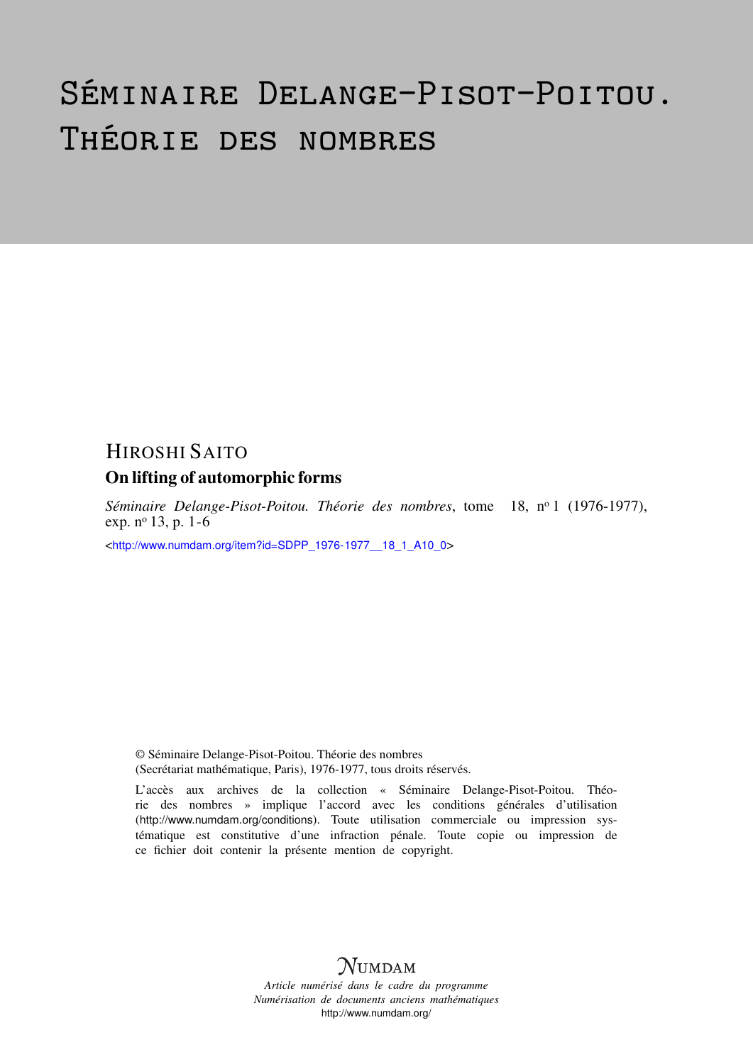# Séminaire Delange-Pisot-Poitou. Théorie des nombres

## HIROSHI SAITO

### On lifting of automorphic forms

*Séminaire Delange-Pisot-Poitou. Théorie des nombres*, tome 18, n<sup>o</sup> 1 (1976-1977), exp. n<sup>o</sup> 13, p. 1-6

<[http://www.numdam.org/item?id=SDPP\\_1976-1977\\_\\_18\\_1\\_A10\\_0](http://www.numdam.org/item?id=SDPP_1976-1977__18_1_A10_0)>

© Séminaire Delange-Pisot-Poitou. Théorie des nombres (Secrétariat mathématique, Paris), 1976-1977, tous droits réservés.

L'accès aux archives de la collection « Séminaire Delange-Pisot-Poitou. Théorie des nombres » implique l'accord avec les conditions générales d'utilisation (<http://www.numdam.org/conditions>). Toute utilisation commerciale ou impression systématique est constitutive d'une infraction pénale. Toute copie ou impression de ce fichier doit contenir la présente mention de copyright.

# **NUMDAM**

*Article numérisé dans le cadre du programme Numérisation de documents anciens mathématiques* <http://www.numdam.org/>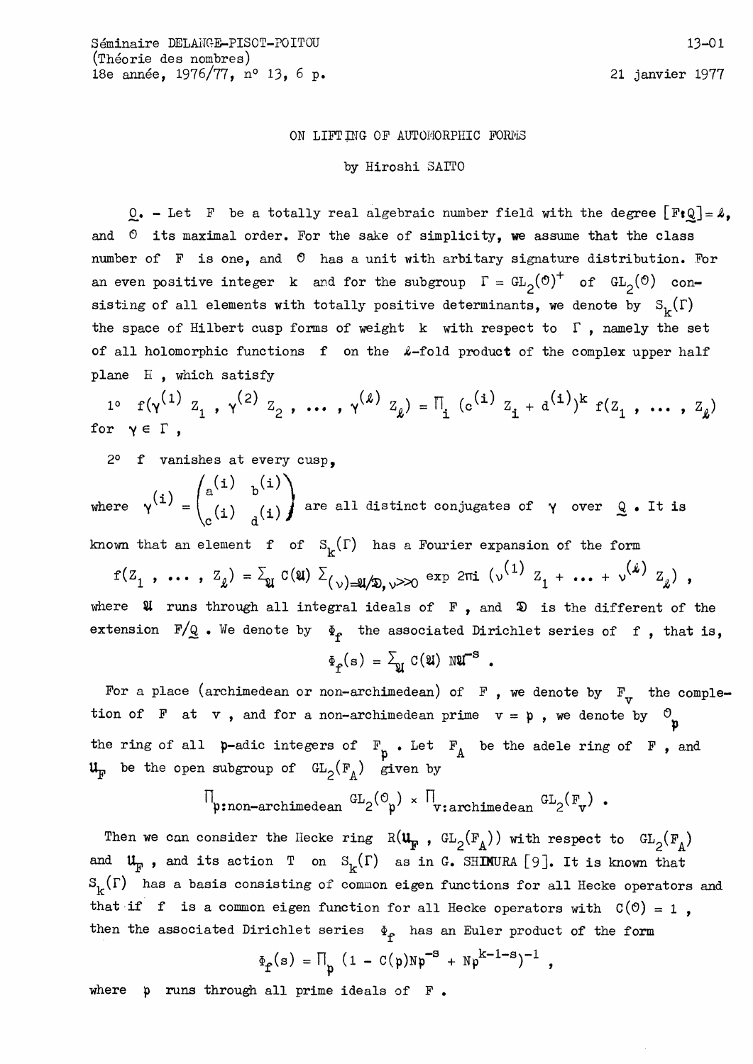### ON LIFTING OF AUTOMORPHIC FORMS

### by Hiroshi SAITO

 $Q_{\bullet}$  - Let F be a totally real algebraic number field with the degree  $[FeQ] = \lambda$ , and  $0$  its maximal order. For the sake of simplicity, we assume that the class number of  $F$  is one, and  $O$  has a unit with arbitary signature distribution. For an even positive integer k and for the subgroup  $\Gamma = GL_2(\mathcal{O})^+$  of  $GL_2(\mathcal{O})$  consisting of all elements with totally positive determinants, we denote by  $S_{\mathbf{k}}(\Gamma)$ the space of Hilbert cusp forms of weight  $k$  with respect to  $\Gamma$ , namely the set of all holomorphic functions f on the  $\ell$ -fold product of the complex upper half plane H, which satisfy

 $1^{\circ}$  f( $\gamma^{(1)}$   $Z_1$ ,  $\gamma^{(2)}$   $Z_2$ , ...,  $\gamma^{(2)}$   $Z_{\ell}$ ) =  $\Pi_i$  ( $c^{(1)}$   $Z_i$  +  $d^{(1)}$ )<sup>k</sup> f( $Z_1$ , ...,  $Z_{\ell}$ ) for  $\gamma \in \Gamma$ .

2° f vanishes at every cusp.

where  $\gamma^{(i)} = \begin{pmatrix} a^{(i)} & b^{(i)} \\ (i) & (i) \end{pmatrix}$  are all distinct conjugates of  $\gamma$  over  $Q$ . It is

known that an element f of  $S_k(\Gamma)$  has a Fourier expansion of the form

 $f(Z_1, ..., Z_k) = \sum_{\mathfrak{A}} G(\mathfrak{A}) \sum_{(\nu) = \mathfrak{A} \neq 0, \nu > 0} \exp 2\pi i (\nu^{(1)} Z_1 + ... + \nu^{(k)} Z_k),$ where  $\mathfrak A$  runs through all integral ideals of  $F$ , and  $\mathfrak D$  is the different of the extension  $F/Q$ . We denote by  $\Phi_{f}$  the associated Dirichlet series of f, that is,

$$
\Phi_{\hat{\mathbf{T}}}(\mathbf{s}) = \sum_{\mathbf{U}} \mathbf{C}(\mathbf{U}) \mathbf{N} \mathbf{U}^{-\mathbf{S}}.
$$

For a place (archimedean or non-archimedean) of  $F$ , we denote by  $F_v$  the completion of F at v, and for a non-archimedean prime  $v = p$ , we denote by  $\mathcal{O}_p$ the ring of all  $p$ -adic integers of  $F_p$ . Let  $F_A$  be the adele ring of  $F$ , and  $\mathfrak{u}_{\mathbb{F}}$  be the open subgroup of  $GL_2(\mathbb{F}_4)$  given by

$$
\Pi_{\text{p:non-archimedean}} \ G_{2}(\mathcal{O}_{\text{p}}) \times \Pi_{\text{v:archimedean}} \ G_{2}(\mathbb{F}_{\text{v}}) .
$$

Then we can consider the Hecke ring  $R(\mathbf{u}_{\mathbf{F}}$ ,  $GL_2(\mathbf{F}_A))$  with respect to  $GL_2(\mathbf{F}_A)$ and  $\mathfrak{u}_{\mathfrak{p}}$ , and its action T on  $S_{\mathfrak{p}}(\Gamma)$  as in G. SHIMURA [9]. It is known that  $S_{\nu}(\Gamma)$  has a basis consisting of common eigen functions for all Hecke operators and that if f is a common eigen function for all Hecke operators with  $C(0) = 1$ , then the associated Dirichlet series  $\Phi_{\rho}$  has an Euler product of the form

$$
\Phi_f(s) = \Pi_p (1 - C(p)Np^{-s} + Np^{k-1-s})^{-1} ,
$$

where  $p$  runs through all prime ideals of  $F$ .

21 janvier 1977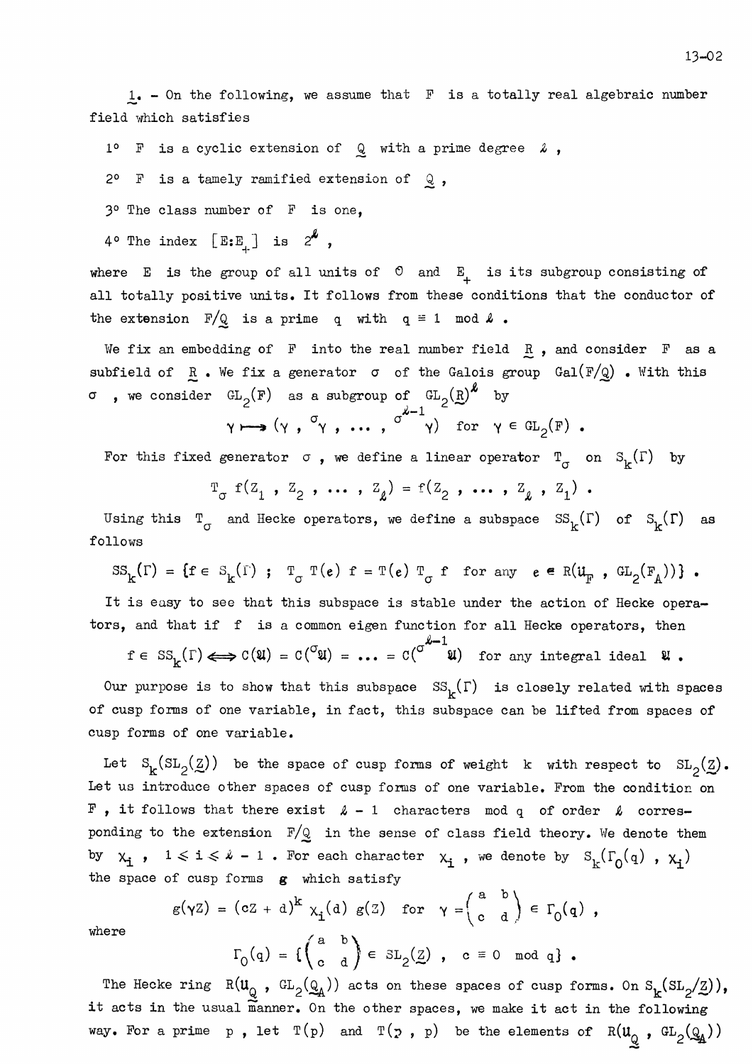$1. -$  On the following, we assume that  $F$  is a totally real algebraic number field which satisfies

1° F is a cyclic extension of  $Q$  with a prime degree  $\lambda$ ,

2° F is a tamely ramified extension of  $Q$ ,

3º The class number of F is one,

4° The index  $[E:E_{+}]$  is  $2^{k}$ ,

where E is the group of all units of  $\circ$  and E<sub>1</sub> is its subgroup consisting of all totally positive units. It follows from these conditions that the conductor of the extension  $F/Q$  is a prime q with  $q \equiv 1 \mod 2$ .

We fix an embedding of F into the real number field  $R$ , and consider F as a subfield of  $R$ . We fix a generator  $\sigma$  of the Galois group  $Gal(F/Q)$ . With this  $\sigma$  , we consider  $GL_2(F)$  as a subgroup of  $GL_2(R)^k$  by

 $\gamma \mapsto (\gamma, \overset{\sigma}{\gamma}, \dots, \overset{\sigma^{\ell-1}}{\gamma})$  for  $\gamma \in GL_2(F)$ .

For this fixed generator  $\sigma$ , we define a linear operator  $T_{\sigma}$  on  $S_k(\Gamma)$  by

$$
T_{\sigma} f(z_1, z_2, \ldots, z_k) = f(z_2, \ldots, z_k, z_1).
$$

Using this  $T_{\sigma}$  and Hecke operators, we define a subspace  $SS_{\kappa}(\Gamma)$  of  $S_{\kappa}(\Gamma)$  as follows

$$
SS_{k}(\Gamma) = \{f \in S_{k}(\Gamma) ; T_{\sigma}T(e) f = T(e) T_{\sigma} f for any e \in R(\mathfrak{u}_{F} , GL_{2}(F_{A})) \} .
$$

It is easy to see that this subspace is stable under the action of Hecke operators, and that if f is a common eigen function for all Hecke operators, then

 $f \in SS_{k}(\Gamma) \Longleftrightarrow C(\mathfrak{A}) = C(\mathfrak{A}) = \ldots = C(\mathfrak{A}^{k-1})$  for any integral ideal  $\mathfrak{A}$ .

Our purpose is to show that this subspace  $SS_k(\Gamma)$  is closely related with spaces of cusp forms of one variable, in fact, this subspace can be lifted from spaces of cusp forms of one variable.

Let  $S_k(SL_2(\underline{Z}))$  be the space of cusp forms of weight k with respect to  $SL_2(\underline{Z})$ . Let us introduce other spaces of cusp forms of one variable. From the condition on  $F$ , it follows that there exist  $\lambda - 1$  characters mod q of order  $\lambda$  corresponding to the extension  $F/Q$  in the sense of class field theory. We denote them by  $x_i$ ,  $1 \le i \le k - 1$ . For each character  $x_i$ , we denote by  $S_k(\Gamma_0(q)$ ,  $x_i)$ the space of cusp forms g which satisfy

$$
g(\gamma Z) = (cZ + d)^{k} \chi_{\mathbf{i}}(d) g(Z) \text{ for } \gamma = \begin{pmatrix} a & b \\ c & d \end{pmatrix} \in \Gamma_{0}(q) ,
$$

$$
\Gamma_{0}(q) = \{ \begin{pmatrix} a & b \\ c & d \end{pmatrix} \in SL_{2}(Z) , c \equiv 0 \mod q \} .
$$

where

$$
\Gamma_0(q) = \left\{ \begin{pmatrix} a & b \\ c & d \end{pmatrix} \in SL_2(\underline{Z}) \text{ , } c \equiv 0 \mod q \right\}.
$$

The Hecke ring  $R(u_Q, GL_2(Q_A))$  acts on these spaces of cusp forms. On  $S_k(SL_2(Z)),$ it acts in the usual manner. On the other spaces, we make it act in the following way. For a prime p, let  $T(p)$  and  $T(p, p)$  be the elements of  $R(u_q, GL_2(q_4))$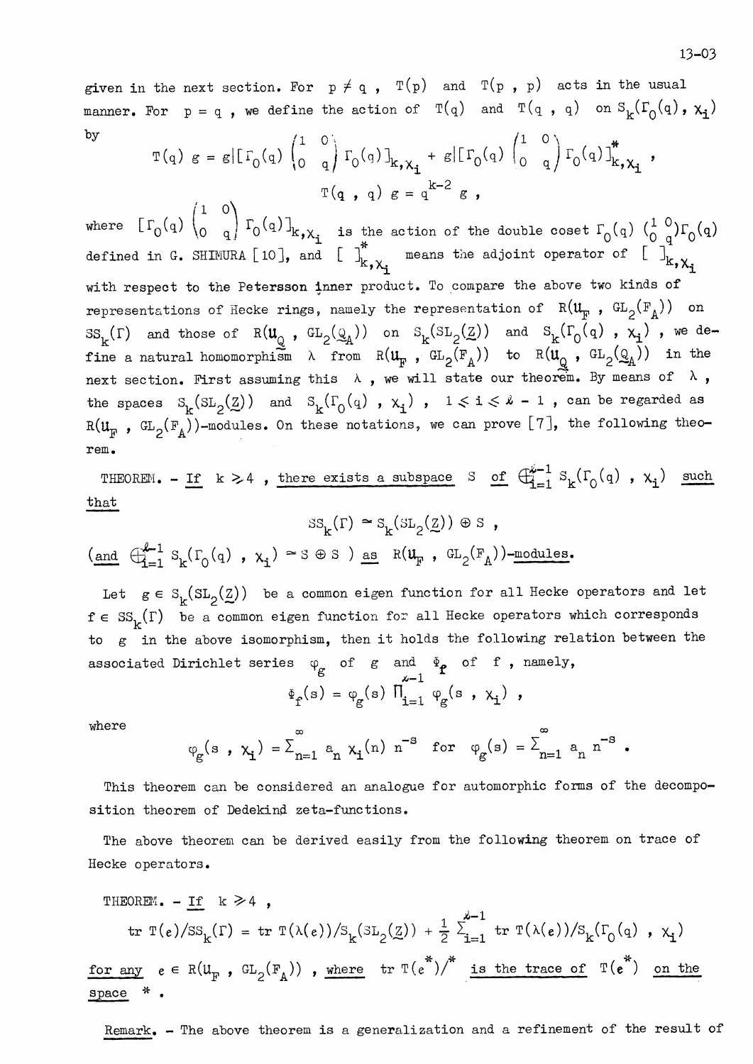given in the next section. For  $p \neq q$ ,  $T(p)$  and  $T(p, p)$  acts in the usual manner. For  $p = q$ , we define the action of  $T(q)$  and  $T(q, q)$  on  $S_k(\Gamma_0(q), \chi_i)$  $bv$  $\sqrt{1-\sqrt{2}}$ 

$$
T(q) g = g \left[ \Gamma_0(q) \begin{pmatrix} 1 & 0 \\ 0 & q \end{pmatrix} \Gamma_0(q) \right]_{k, \chi_1} + g \left[ \Gamma_0(q) \begin{pmatrix} 1 & 0 \\ 0 & q \end{pmatrix} \Gamma_0(q) \right]_{k, \chi_1}^*,
$$
  

$$
T(q, q) g = q^{k-2} g,
$$

where  $[\Gamma_0(q) \begin{pmatrix} 1 & 0 \\ 0 & q \end{pmatrix} \Gamma_0(q)]_{k,\chi_1}$  is the action of the double coset  $\Gamma_0(q) \begin{pmatrix} 1 & 0 \\ 0 & q \end{pmatrix} \Gamma_0(q)$ defined in G. SHIMURA [10], and [ $\int_{k,\chi_{i}}^{*}$  means the adjoint operator of  $\begin{bmatrix} 1 \\ k,\chi_{i} \end{bmatrix}^{*}$ with respect to the Petersson inner product. To compare the above two kinds of representations of Hecke rings, namely the representation of  $R(\mathfrak{u}_{\mathbb{F}}$ ,  $GL_2(\mathbb{F}_A))$  on  $\text{SS}_k(\Gamma)$  and those of  $R(\mathfrak{u}_\mathbb{Q}$ ,  $GL_2(\mathbb{Q}_A))$  on  $\text{SS}_k(\text{SL}_2(\mathbb{Z}))$  and  $\text{SS}_k(\Gamma_0(\mathfrak{q})$ ,  $x_i)$ , we define a natural homomorphism  $\lambda$  from  $R(\mathfrak{u}_{\mathbb{F}}^{\bullet}, \mathbb{G}L_2(\mathbb{F}_A))$  to  $R(\mathfrak{u}_{\mathbb{Q}}^{\bullet}, \mathbb{G}L_2(\mathbb{Q}_A))$  in the next section. First assuming this  $\lambda$ , we will state our theorem. By means of  $\lambda$ , the spaces  $S_k(SL_2(\underline{Z}))$  and  $S_k(\Gamma_0(q), x_i)$ ,  $1 \le i \le k - 1$ , can be regarded as  $R(\mathfrak{u}_{\mathbb{F}}$ ,  $GL_2(\mathbb{F}_A))$ -modules. On these notations, we can prove [7], the following theorem.

THEOREM. - If  $k > 4$ , there exists a subspace S of  $\bigoplus_{i=1}^{k-1} S_k(\Gamma_0(q)$ ,  $x_i)$  such  $that$ 

$$
SS_{k}(\Gamma) \approx S_{k}(SL_{2}(\underline{Z})) \oplus S ,
$$
  
(and  $\bigoplus_{i=1}^{k-1} S_{k}(\Gamma_{0}(q), \chi_{i}) \approx S \oplus S )$  as  $R(\mathbf{u}_{F}, GL_{2}(\mathbf{F}_{A}))$ -modules.

Let  $g \in S_{\nu}(SL_2(\underline{Z}))$  be a common eigen function for all Hecke operators and let  $f \in SS_K(\Gamma)$  be a common eigen function for all Hecke operators which corresponds to g in the above isomorphism, then it holds the following relation between the associated Dirichlet series  $\varphi_g$  of  $g$  and  $\varphi_f$  of  $f$ , namely,<br> $\varphi_f(s) = \varphi_g(s) \prod_{i=1}^s \varphi_g(s, x_i)$ ,

where

$$
\varphi_{g}(s, \chi_{i}) = \sum_{n=1}^{\infty} a_{n} \chi_{i}(n) n^{-s}
$$
 for  $\varphi_{g}(s) = \sum_{n=1}^{\infty} a_{n} n^{-s}$ .

This theorem can be considered an analogue for automorphic forms of the decomposition theorem of Dedekind zeta-functions.

The above theorem can be derived easily from the following theorem on trace of Hecke operators.

THEOREM. - If 
$$
k \ge 4
$$
,  
\ntr  $T(e)/SS_k(\Gamma) = tr T(\lambda(e))/S_k(SL_2(\underline{Z})) + \frac{1}{2} \sum_{i=1}^{k-1} tr T(\lambda(e))/S_k(\Gamma_0(q), X_i)$   
\nfor any  $e \in R(U_F, GL_2(F_A))$ , where  $tr T(e^*) / \sum_{i=1}^{k} tr T(xe^*) = tr T(e^*)$  on the  
\nspace \* .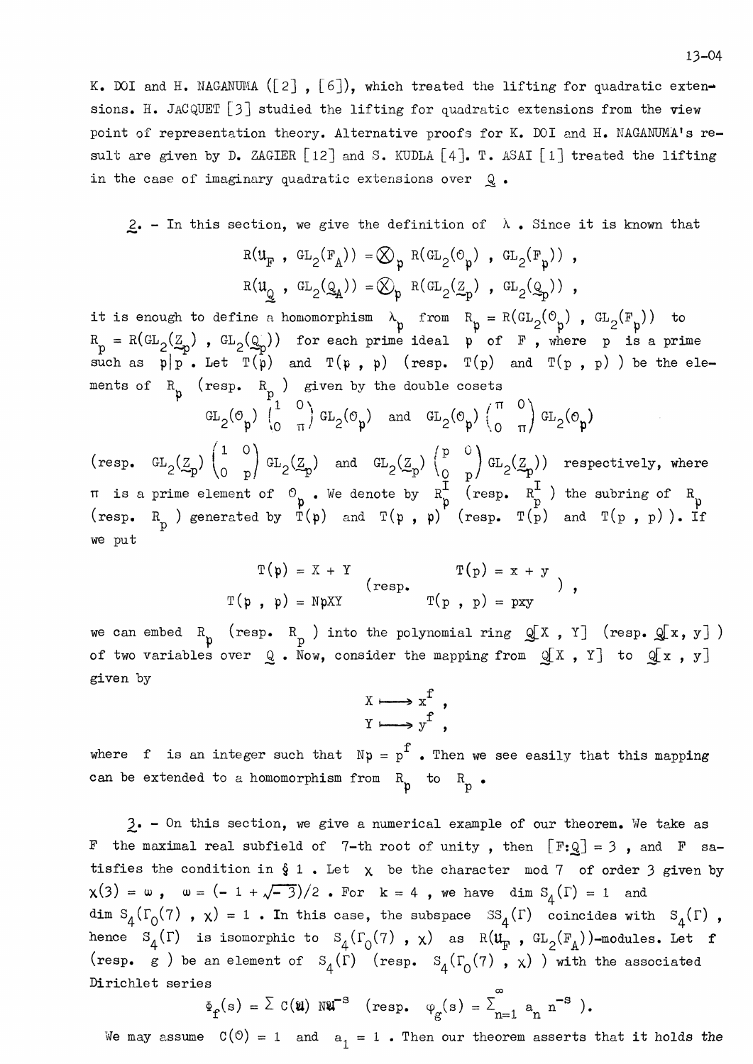K. DOI and H. NAGANUMA ( $[2]$ ,  $[6]$ ), which treated the lifting for quadratic extensions. H. JACQUET [3] studied the lifting for quadratic extensions from the view point of representation theory. Alternative proofs for K. DOI and H. NAGANUMA's result are given by D. ZAGIER [12] and S. KUDLA [4]. T. ASAI [1] treated the lifting in the case of imaginary quadratic extensions over Q.

2. - In this section, we give the definition of  $\lambda$ . Since it is known that

$$
R(uF, GL2(FA)) = \bigotimes_{p} R(GL2(Op), GL2(Fp)),
$$
  

$$
R(uQ, GL2(QA)) = \bigotimes_{p} R(GL2(Zp), GL2(Qp)),
$$

it is enough to define a homomorphism  $\lambda_p$  from  $R_p = R(GL_2(\mathcal{O}_p)$ ,  $GL_2(F_p)$  to  $R_p = R(GL_2(\mathcal{Z}_p)$ ,  $GL_2(\mathcal{Q}_p)$  for each prime ideal  $p$  of  $F$ , where  $p$  is a prime such as  $p|p$ . Let  $T(p)$  and  $T(p, p)$  (resp.  $T(p)$  and ments of  $R_p$  (resp.  $R_p$ ) given by the double cosets

$$
\operatorname{GL}_2(\mathcal{O}_{\mathfrak{p}}) \left( \begin{matrix} 1 & 0 \\ 0 & \pi \end{matrix} \right) \operatorname{GL}_2(\mathcal{O}_{\mathfrak{p}}) \quad \text{and} \quad \operatorname{GL}_2(\mathcal{O}_{\mathfrak{p}}) \left( \begin{matrix} \pi & 0 \\ 0 & \pi \end{matrix} \right) \operatorname{GL}_2(\mathcal{O}_{\mathfrak{p}})
$$

(resp.  $GL_2(\mathbb{Z}_p)$   $\begin{pmatrix} 1 & 0 \\ 0 & p \end{pmatrix} GL_2(\mathbb{Z}_p)$  and  $GL_2(\mathbb{Z}_p)$   $\begin{pmatrix} p & 0 \\ 0 & p \end{pmatrix} GL_2(\mathbb{Z}_p)$  respectively, where <br>  $\pi$  is a prime element of  $\begin{pmatrix} 0 & 0 \\ p & p \end{pmatrix}$ . We denote by  $R_p^{\text{I}}$  (resp.  $R_p^{\text$ we put

$$
T(p) = X + Y
$$
  
\n
$$
T(p) = x + y
$$
  
\n
$$
T(p) = x + y
$$
  
\n
$$
T(p) = x + y
$$
  
\n
$$
T(p) = x + y
$$
  
\n
$$
T(p) = x + y
$$

we can embed  $R_p$  (resp.  $R_p$ ) into the polynomial ring  $Q[X, Y]$  (resp.  $Q[x, y]$ ) of two variables over  $Q$ . Now, consider the mapping from  $Q[X, Y]$  to  $Q[x, y]$ given by

$$
\begin{array}{ccc}\nX & \longrightarrow & x^f \\
Y & \longrightarrow & y^f\n\end{array},
$$

where f is an integer such that  $Np = p^f$ . Then we see easily that this mapping can be extended to a homomorphism from  $R_p$  to  $R_p$ .

 $3. -$  On this section, we give a numerical example of our theorem. We take as F the maximal real subfield of 7-th root of unity, then  $[F:Q] = 3$ , and F satisfies the condition in  $\S 1$ . Let  $\chi$  be the character mod 7 of order 3 given by  $\chi(3) = \omega$ ,  $\omega = (-1 + \sqrt{-3})/2$ . For  $k = 4$ , we have dim  $S_A(\Gamma) = 1$  and dim  $S_4(\Gamma_0(7)$ ,  $\chi$ ) = 1. In this case, the subspace  $SS_4(\Gamma)$  coincides with  $S_4(\Gamma)$ , hence  $S_4(\Gamma)$  is isomorphic to  $S_4(\Gamma_0(7)$ ,  $x)$  as  $R(\mathfrak{u}_F$ ,  $GL_2(F_A))$ -modules. Let f (resp. g) be an element of  $S_4(\Gamma)$  (resp.  $S_4(\Gamma_0(7), \chi)$ ) with the associated Dirichlet series

 $\Phi_f(s) = \sum C(u) N u^{-s}$  (resp.  $\varphi_g(s) = \sum_{n=1}^{\infty} a_n n^{-s}$ ).

We may assume  $C(0) = 1$  and  $a_1 = 1$ . Then our theorem asserts that it holds the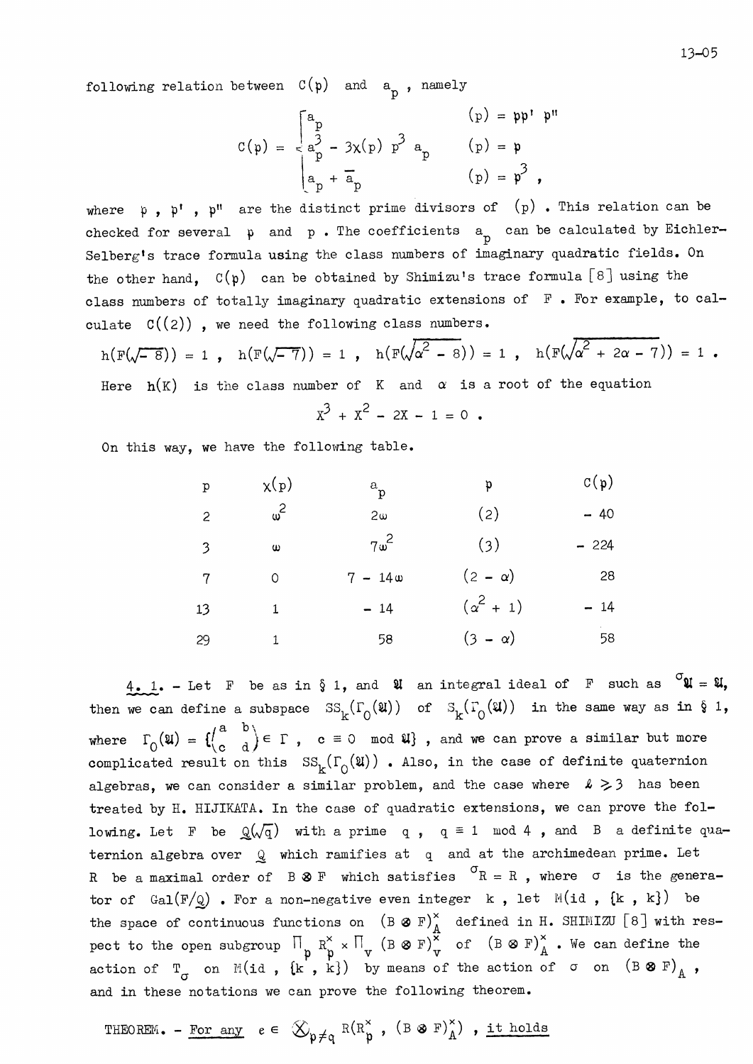$$
C(p) = \begin{cases} a_p & (p) = pp' & p'' \\ a_p^3 - 3x(p) & p^3 & a_p \\ a_p + a_p & (p) = p \end{cases}
$$

where  $p$ ,  $p'$ ,  $p''$  are the distinct prime divisors of  $(p)$ . This relation can be checked for several  $p$  and  $p$ . The coefficients  $a_p$  can be calculated by Eichler-Selberg's trace formula using the class numbers of imaginary quadratic fields. On the other hand,  $C(p)$  can be obtained by Shimizu's trace formula [8] using the class numbers of totally imaginary quadratic extensions of F. For example, to calculate  $C((2))$ , we need the following class numbers.

$$
h(F(\sqrt{-8})) = 1
$$
,  $h(F(\sqrt{-7})) = 1$ ,  $h(F(\sqrt{\alpha^2 - 8})) = 1$ ,  $h(F(\sqrt{\alpha^2 + 2\alpha - 7})) = 1$ .

Here  $h(K)$  is the class number of K and  $\alpha$  is a root of the equation

$$
x^3 + x^2 - 2x - 1 = 0
$$

On this way, we have the following table.

| p  | $\chi(p)$  | a <sub>p</sub> | p              | $C(p)$ |
|----|------------|----------------|----------------|--------|
| 2  | $\omega^2$ | 2\omega        | (2)            | -40    |
| 3  | $\omega$   | $7\omega^2$    | (3)            | -224   |
| 7  | 0          | 7 - 14\omega   | (2 - \alpha)   | 28     |
| 13 | 1          | -14            | (\alpha^2 + 1) | -14    |
| 29 | 1          | 58             | (3 - \alpha)   | 58     |

 $\frac{4}{1}$ . - Let F be as in  $\S 1$ , and  $\mathfrak A$  an integral ideal of F such as  $\sigma \mathfrak A = \mathfrak A$ , then we can define a subspace  $SS_k(\Gamma_0(\mathfrak{U}))$  of  $S_k(\Gamma_0(\mathfrak{U}))$  in the same way as in § 1, where  $\Gamma_0(\mathfrak{A}) = \left\{ \begin{pmatrix} a & b \\ c & d \end{pmatrix} \in \Gamma$ ,  $c \equiv 0 \mod \mathfrak{A} \right\}$ , and we can prove a similar but more complicated result on this  $SS_k(\Gamma_0(\mathfrak{A}))$ . Also, in the case of definite quaternion algebras, we can consider a similar problem, and the case where  $\ell \geq 3$  has been treated by H. HIJIKATA. In the case of quadratic extensions, we can prove the following. Let F be  $Q(\sqrt{q})$  with a prime q,  $q \equiv 1 \mod 4$ , and B a definite quaternion algebra over  $Q$  which ramifies at q and at the archimedean prime. Let R be a maximal order of B  $\otimes$  F which satisfies  $\sigma$ R = R, where  $\sigma$  is the generator of  $Gal(F/\mathbb{Q})$  . For a non-negative even integer k, let  $M(id, {k, k})$  be the space of continuous functions on  $(B \otimes F)^{\times}_{A}$  defined in H. SHIMIZU [8] with respect to the open subgroup  $\prod_{p} R^{\times}_{p} \times \prod_{p} (B \otimes F)^{\times}_{p}$  of  $(B \otimes F)^{\times}_{A}$ . We can define the action of  $T_{\sigma}$  on  $M(id, \{k, k\})$  by mea and in these notations we can prove the following theorem.

THEOREM. - For any 
$$
e \in \mathcal{L}_{p \neq q} R(R_p^{\times}, (B \otimes F)_A^{\times})
$$
, it holds